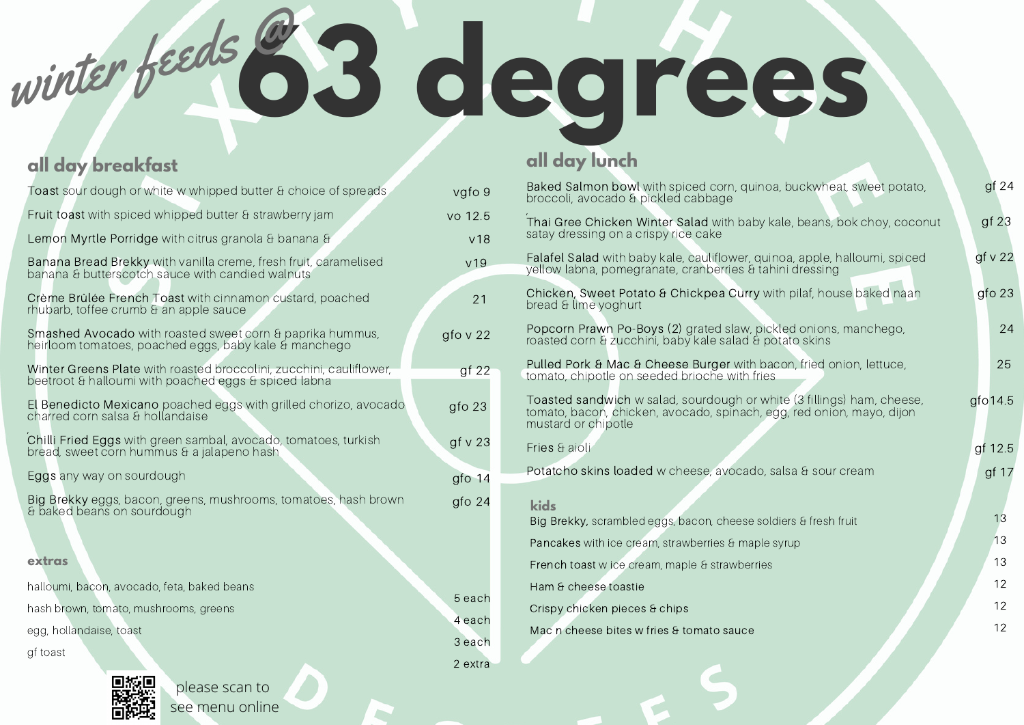winter feeds @**63 degrees**

## **all day breakfast**

| Toast sour dough or white w whipped butter & choice of spreads                                                              | vgfo 9            |
|-----------------------------------------------------------------------------------------------------------------------------|-------------------|
| Fruit toast with spiced whipped butter & strawberry jam                                                                     | vo 12.5           |
| Lemon Myrtle Porridge with citrus granola & banana &                                                                        | V <sub>18</sub>   |
| Banana Bread Brekky with vanilla creme, fresh fruit, caramelised<br>banana & butterscotch sauce with candied walnuts        | V <sub>19</sub>   |
| Crème Brûlée French Toast with cinnamon custard, poached<br>rhubarb, toffee crumb & an apple sauce                          | 21                |
| Smashed Avocado with roasted sweet corn & paprika hummus,<br>heirloom tomatoes, poached eggs, baby kale & manchego          | $g$ fo v 22       |
| Winter Greens Plate with roasted broccolini, zucchini, cauliflower,<br>beetroot & halloumi with poached eggs & spiced labna | gf22              |
| El Benedicto Mexicano poached eggs with grilled chorizo, avocado<br>charred corn salsa & hollandaise                        | gfo <sub>23</sub> |
| Chilli Fried Eggs with green sambal, avocado, tomatoes, turkish<br>bread, sweet corn hummus & a jalapeno hash               | gf v 23           |
| Eggs any way on sourdough                                                                                                   | gfo $14$          |
| Big Brekky eggs, bacon, greens, mushrooms, tomatoes, hash brown<br>& baked beans on sourdough                               | gfo <sub>24</sub> |
| extras                                                                                                                      |                   |
| halloumi, bacon, avocado, feta, baked beans                                                                                 |                   |
| hash brown, tomato, mushrooms, greens                                                                                       | 5 each            |
| egg, hollandaise, toast                                                                                                     | 4 each<br>3 each  |
| gf toast                                                                                                                    | 2 extra           |
| please scan to                                                                                                              |                   |

see menu online

### **all day lunch**

| Baked Salmon bowl with spiced corn, quinoa, buckwheat, sweet potato,<br>broccoli, avocado & pickled cabbage                                                            | gf 24            |
|------------------------------------------------------------------------------------------------------------------------------------------------------------------------|------------------|
| Thai Gree Chicken Winter Salad with baby kale, beans, bok choy, coconut<br>satay dressing on a crispy rice cake                                                        | gf <sub>23</sub> |
| Falafel Salad with baby kale, cauliflower, quinoa, apple, halloumi, spiced<br>yellow labna, pomegranate, cranberries & tahini dressing                                 | gf v 22          |
| Chicken, Sweet Potato & Chickpea Curry with pilaf, house baked naan<br>bread & lime yoghurt                                                                            | $g$ fo 23        |
| Popcorn Prawn Po-Boys (2) grated slaw, pickled onions, manchego,<br>roasted corn & zucchini, baby kale salad & potato skins                                            | 24               |
| Pulled Pork & Mac & Cheese Burger with bacon, fried onion, lettuce,<br>tomato, chipotle on seeded brioche with fries                                                   | 25               |
| Toasted sandwich w salad, sourdough or white (3 fillings) ham, cheese,<br>tomato, bacon, chicken, avocado, spinach, egg, red onion, mayo, dijon<br>mustard or chipotle | $g$ fo 14.5      |
| Fries & aioli                                                                                                                                                          | gf 12.5          |
| Potatcho skins loaded w cheese, avocado, salsa & sour cream                                                                                                            | gf $17$          |
| kids                                                                                                                                                                   |                  |
| Big Brekky, scrambled eggs, bacon, cheese soldiers & fresh fruit                                                                                                       | 13               |
| Pancakes with ice cream, strawberries & maple syrup                                                                                                                    | 13               |
| French toast w ice cream, maple & strawberries                                                                                                                         | 13               |
| Ham & cheese toastie                                                                                                                                                   | 12               |
| Crispy chicken pieces & chips                                                                                                                                          | 12               |
| Mac n cheese bites w fries & tomato sauce                                                                                                                              | 12               |